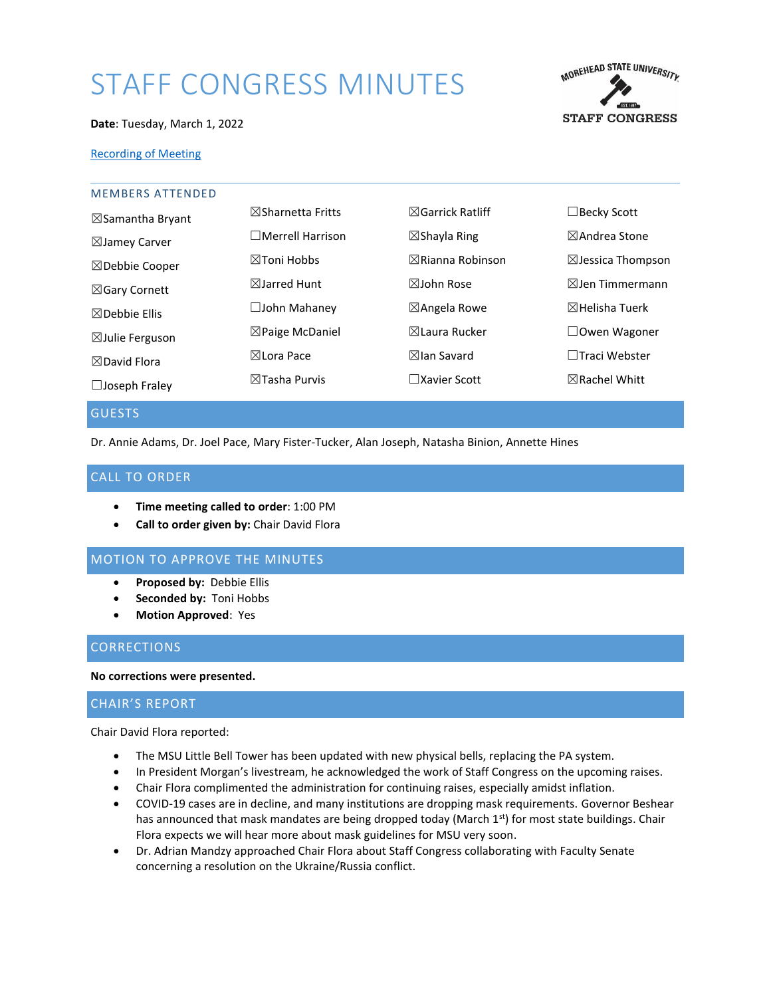# STAFF CONGRESS MINUTES



#### **Date**: Tuesday, March 1, 2022

## [Recording of Meeting](https://moreheadstate.webex.com/moreheadstate/ldr.php?RCID=16f2bb54c99f81f95282ab640fbf811e)

| <b>MEMBERS ATTENDED</b>     |                              |                             |                              |
|-----------------------------|------------------------------|-----------------------------|------------------------------|
| $\boxtimes$ Samantha Bryant | $\boxtimes$ Sharnetta Fritts | $\boxtimes$ Garrick Ratliff | $\Box$ Becky Scott           |
| $\boxtimes$ Jamey Carver    | $\Box$ Merrell Harrison      | $\boxtimes$ Shayla Ring     | $\boxtimes$ Andrea Stone     |
| $\boxtimes$ Debbie Cooper   | $\boxtimes$ Toni Hobbs       | $\boxtimes$ Rianna Robinson | $\boxtimes$ Jessica Thompson |
| ⊠Gary Cornett               | $\boxtimes$ Jarred Hunt      | $\boxtimes$ John Rose       | $\boxtimes$ Jen Timmermann   |
| $\boxtimes$ Debbie Ellis    | $\Box$ John Mahaney          | $\boxtimes$ Angela Rowe     | $\boxtimes$ Helisha Tuerk    |
| $\boxtimes$ Julie Ferguson  | $\boxtimes$ Paige McDaniel   | ⊠Laura Rucker               | $\Box$ Owen Wagoner          |
| $\boxtimes$ David Flora     | ⊠Lora Pace                   | $\boxtimes$ lan Savard      | □Traci Webster               |
| $\Box$ Joseph Fraley        | $\boxtimes$ Tasha Purvis     | $\Box$ Xavier Scott         | $\boxtimes$ Rachel Whitt     |
|                             |                              |                             |                              |

## GUESTS

Dr. Annie Adams, Dr. Joel Pace, Mary Fister-Tucker, Alan Joseph, Natasha Binion, Annette Hines

# CALL TO ORDER

- **Time meeting called to order**: 1:00 PM
- **Call to order given by:** Chair David Flora

# MOTION TO APPROVE THE MINUTES

- **Proposed by:** Debbie Ellis
- **Seconded by:** Toni Hobbs
- **Motion Approved**: Yes

# **CORRECTIONS**

**No corrections were presented.** 

## CHAIR'S REPORT

Chair David Flora reported:

- The MSU Little Bell Tower has been updated with new physical bells, replacing the PA system.
- In President Morgan's livestream, he acknowledged the work of Staff Congress on the upcoming raises.
- Chair Flora complimented the administration for continuing raises, especially amidst inflation.
- COVID-19 cases are in decline, and many institutions are dropping mask requirements. Governor Beshear has announced that mask mandates are being dropped today (March 1st) for most state buildings. Chair Flora expects we will hear more about mask guidelines for MSU very soon.
- Dr. Adrian Mandzy approached Chair Flora about Staff Congress collaborating with Faculty Senate concerning a resolution on the Ukraine/Russia conflict.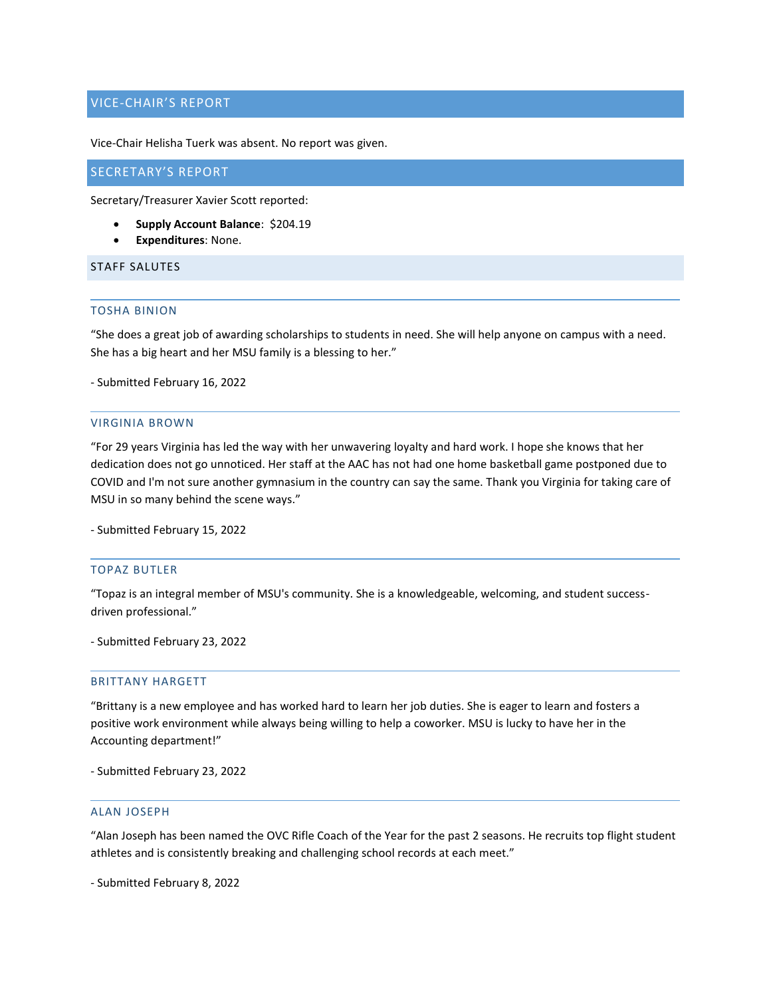# VICE-CHAIR'S REPORT

Vice-Chair Helisha Tuerk was absent. No report was given.

## SECRETARY'S REPORT

Secretary/Treasurer Xavier Scott reported:

- **Supply Account Balance**: \$204.19
- **Expenditures**: None.

# STAFF SALUTES

## TOSHA BINION

"She does a great job of awarding scholarships to students in need. She will help anyone on campus with a need. She has a big heart and her MSU family is a blessing to her."

- Submitted February 16, 2022

#### VIRGINIA BROWN

"For 29 years Virginia has led the way with her unwavering loyalty and hard work. I hope she knows that her dedication does not go unnoticed. Her staff at the AAC has not had one home basketball game postponed due to COVID and I'm not sure another gymnasium in the country can say the same. Thank you Virginia for taking care of MSU in so many behind the scene ways."

- Submitted February 15, 2022

## TOPAZ BUTLER

"Topaz is an integral member of MSU's community. She is a knowledgeable, welcoming, and student successdriven professional."

- Submitted February 23, 2022

#### BRITTANY HARGETT

"Brittany is a new employee and has worked hard to learn her job duties. She is eager to learn and fosters a positive work environment while always being willing to help a coworker. MSU is lucky to have her in the Accounting department!"

- Submitted February 23, 2022

## ALAN JOSEPH

"Alan Joseph has been named the OVC Rifle Coach of the Year for the past 2 seasons. He recruits top flight student athletes and is consistently breaking and challenging school records at each meet."

- Submitted February 8, 2022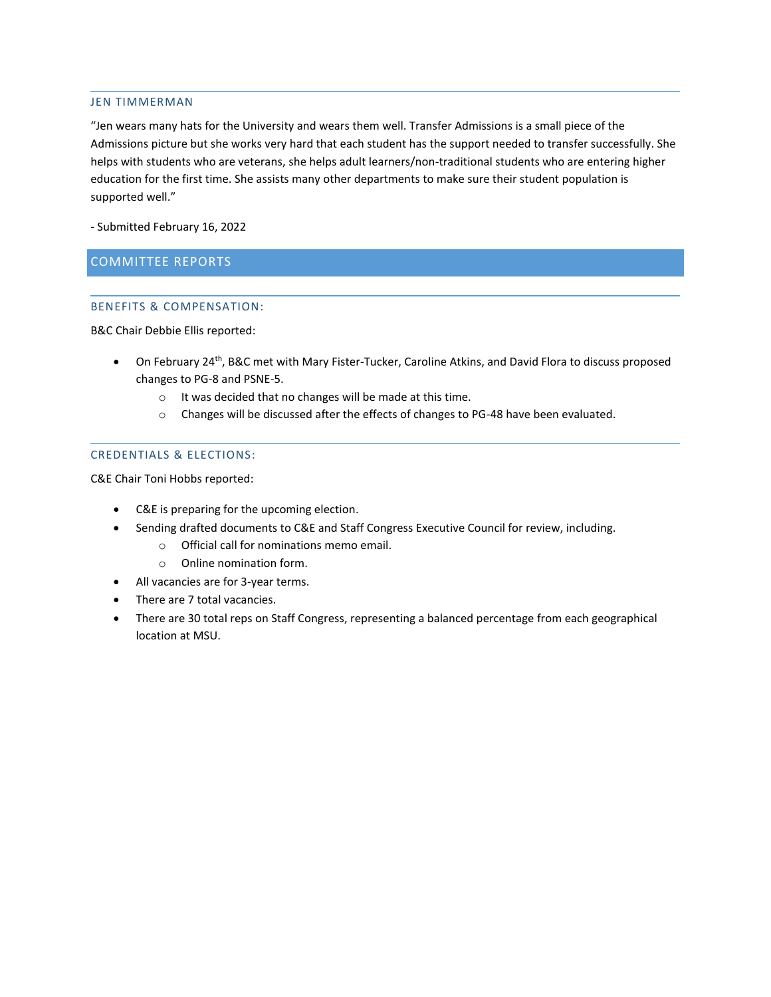#### JEN TIMMERMAN

"Jen wears many hats for the University and wears them well. Transfer Admissions is a small piece of the Admissions picture but she works very hard that each student has the support needed to transfer successfully. She helps with students who are veterans, she helps adult learners/non-traditional students who are entering higher education for the first time. She assists many other departments to make sure their student population is supported well."

- Submitted February 16, 2022

# COMMITTEE REPORTS

# BENEFITS & COMPENSATION:

B&C Chair Debbie Ellis reported:

- On February 24<sup>th</sup>, B&C met with Mary Fister-Tucker, Caroline Atkins, and David Flora to discuss proposed changes to PG-8 and PSNE-5.
	- o It was decided that no changes will be made at this time.
	- o Changes will be discussed after the effects of changes to PG-48 have been evaluated.

## CREDENTIALS & ELECTIONS:

C&E Chair Toni Hobbs reported:

- C&E is preparing for the upcoming election.
- Sending drafted documents to C&E and Staff Congress Executive Council for review, including.
	- o Official call for nominations memo email.
	- o Online nomination form.
- All vacancies are for 3-year terms.
- There are 7 total vacancies.
- There are 30 total reps on Staff Congress, representing a balanced percentage from each geographical location at MSU.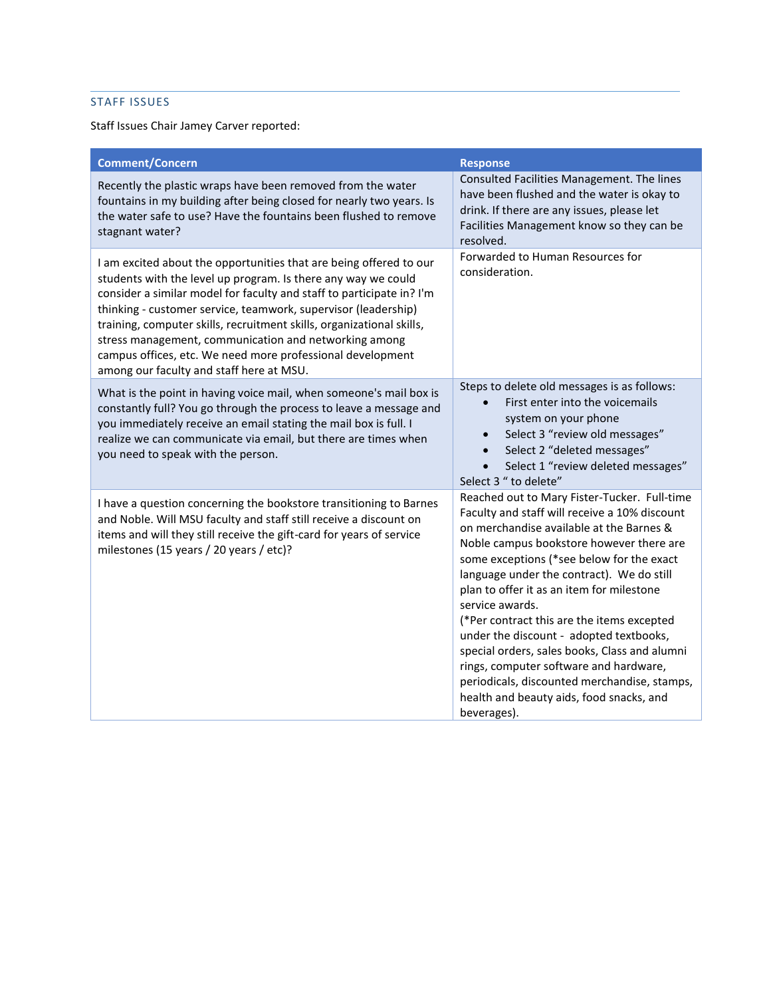# STAFF ISSUES

Staff Issues Chair Jamey Carver reported:

| <b>Comment/Concern</b>                                                                                                                                                                                                                                                                                                                                                                                                                                                                                                     | <b>Response</b>                                                                                                                                                                                                                                                                                                                                                                                                                                                                                                                                                                                                                                |
|----------------------------------------------------------------------------------------------------------------------------------------------------------------------------------------------------------------------------------------------------------------------------------------------------------------------------------------------------------------------------------------------------------------------------------------------------------------------------------------------------------------------------|------------------------------------------------------------------------------------------------------------------------------------------------------------------------------------------------------------------------------------------------------------------------------------------------------------------------------------------------------------------------------------------------------------------------------------------------------------------------------------------------------------------------------------------------------------------------------------------------------------------------------------------------|
| Recently the plastic wraps have been removed from the water<br>fountains in my building after being closed for nearly two years. Is<br>the water safe to use? Have the fountains been flushed to remove<br>stagnant water?                                                                                                                                                                                                                                                                                                 | Consulted Facilities Management. The lines<br>have been flushed and the water is okay to<br>drink. If there are any issues, please let<br>Facilities Management know so they can be<br>resolved.                                                                                                                                                                                                                                                                                                                                                                                                                                               |
| I am excited about the opportunities that are being offered to our<br>students with the level up program. Is there any way we could<br>consider a similar model for faculty and staff to participate in? I'm<br>thinking - customer service, teamwork, supervisor (leadership)<br>training, computer skills, recruitment skills, organizational skills,<br>stress management, communication and networking among<br>campus offices, etc. We need more professional development<br>among our faculty and staff here at MSU. | Forwarded to Human Resources for<br>consideration.                                                                                                                                                                                                                                                                                                                                                                                                                                                                                                                                                                                             |
| What is the point in having voice mail, when someone's mail box is<br>constantly full? You go through the process to leave a message and<br>you immediately receive an email stating the mail box is full. I<br>realize we can communicate via email, but there are times when<br>you need to speak with the person.                                                                                                                                                                                                       | Steps to delete old messages is as follows:<br>First enter into the voicemails<br>system on your phone<br>Select 3 "review old messages"<br>$\bullet$<br>Select 2 "deleted messages"<br>$\bullet$<br>Select 1 "review deleted messages"<br>Select 3 " to delete"                                                                                                                                                                                                                                                                                                                                                                               |
| I have a question concerning the bookstore transitioning to Barnes<br>and Noble. Will MSU faculty and staff still receive a discount on<br>items and will they still receive the gift-card for years of service<br>milestones (15 years / 20 years / etc)?                                                                                                                                                                                                                                                                 | Reached out to Mary Fister-Tucker. Full-time<br>Faculty and staff will receive a 10% discount<br>on merchandise available at the Barnes &<br>Noble campus bookstore however there are<br>some exceptions (*see below for the exact<br>language under the contract). We do still<br>plan to offer it as an item for milestone<br>service awards.<br>(*Per contract this are the items excepted<br>under the discount - adopted textbooks,<br>special orders, sales books, Class and alumni<br>rings, computer software and hardware,<br>periodicals, discounted merchandise, stamps,<br>health and beauty aids, food snacks, and<br>beverages). |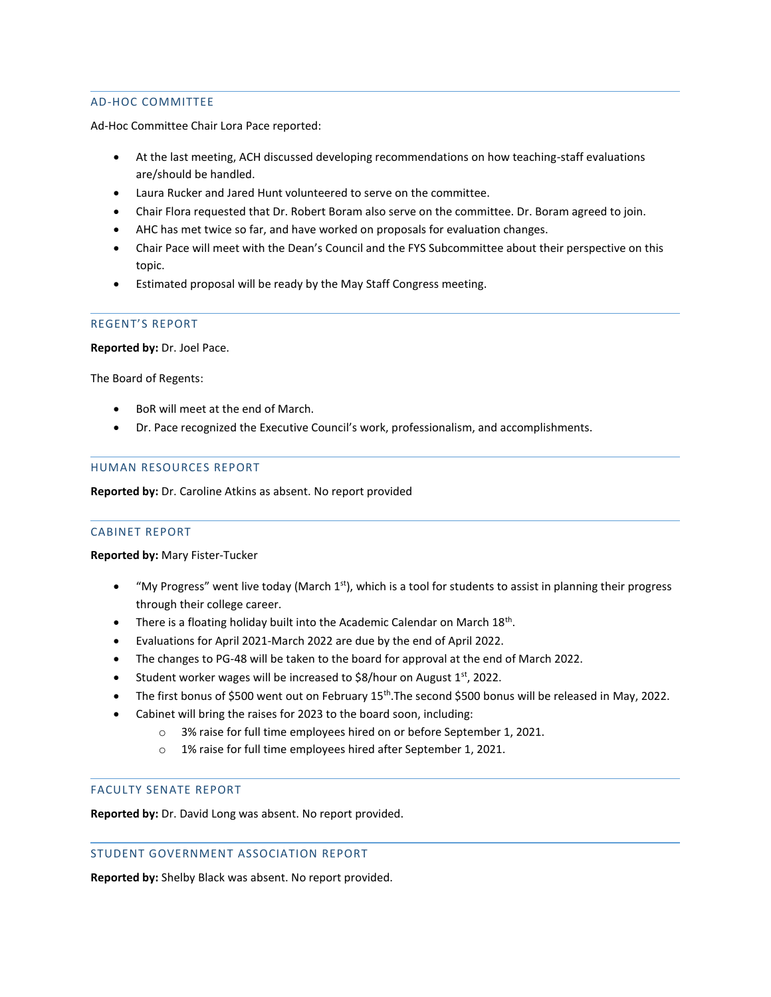# AD-HOC COMMITTEE

Ad-Hoc Committee Chair Lora Pace reported:

- At the last meeting, ACH discussed developing recommendations on how teaching-staff evaluations are/should be handled.
- Laura Rucker and Jared Hunt volunteered to serve on the committee.
- Chair Flora requested that Dr. Robert Boram also serve on the committee. Dr. Boram agreed to join.
- AHC has met twice so far, and have worked on proposals for evaluation changes.
- Chair Pace will meet with the Dean's Council and the FYS Subcommittee about their perspective on this topic.
- Estimated proposal will be ready by the May Staff Congress meeting.

## REGENT'S REPORT

**Reported by:** Dr. Joel Pace.

The Board of Regents:

- BoR will meet at the end of March.
- Dr. Pace recognized the Executive Council's work, professionalism, and accomplishments.

## HUMAN RESOURCES REPORT

**Reported by:** Dr. Caroline Atkins as absent. No report provided

# CABINET REPORT

**Reported by:** Mary Fister-Tucker

- "My Progress" went live today (March 1<sup>st</sup>), which is a tool for students to assist in planning their progress through their college career.
- There is a floating holiday built into the Academic Calendar on March 18<sup>th</sup>.
- Evaluations for April 2021-March 2022 are due by the end of April 2022.
- The changes to PG-48 will be taken to the board for approval at the end of March 2022.
- Student worker wages will be increased to \$8/hour on August  $1<sup>st</sup>$ , 2022.
- The first bonus of \$500 went out on February 15<sup>th</sup>. The second \$500 bonus will be released in May, 2022.
- Cabinet will bring the raises for 2023 to the board soon, including:
	- o 3% raise for full time employees hired on or before September 1, 2021.
	- o 1% raise for full time employees hired after September 1, 2021.

## FACULTY SENATE REPORT

**Reported by:** Dr. David Long was absent. No report provided.

#### STUDENT GOVERNMENT ASSOCIATION REPORT

**Reported by:** Shelby Black was absent. No report provided.